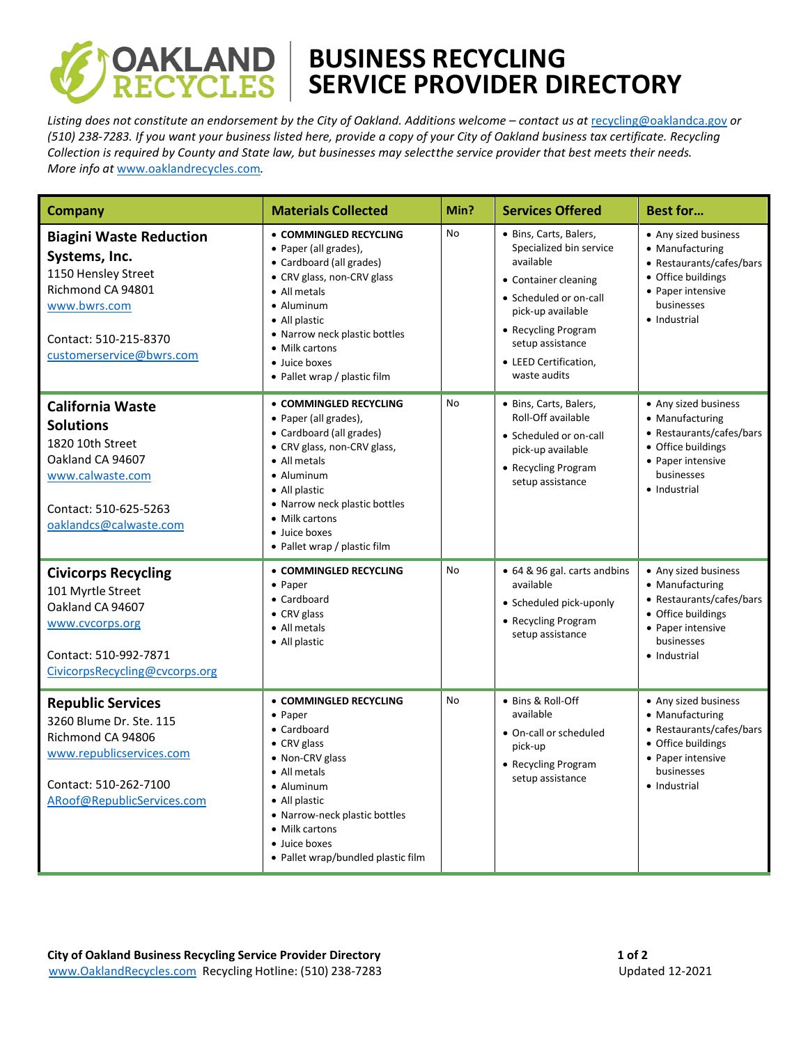

## **BUSINESS RECYCLING SERVICE PROVIDER DIRECTORY**

*Listing does not constitute an endorsement by the City of Oakland. Additions welcome – contact us at* [recycling@oaklandca.gov](mailto:recycling@oaklandca.gov) *or (510) 238-7283. If you want your business listed here, provide a copy of your City of Oakland business tax certificate. Recycling Collection is required by County and State law, but businesses may selectthe service provider that best meets their needs. More info at* [www.oaklandrecycles.com](http://www.oaklandrecycles.com/)*.*

| Company                                                                                                                                                          | <b>Materials Collected</b>                                                                                                                                                                                                                                    | Min?      | <b>Services Offered</b>                                                                                                                                                                                                   | <b>Best for</b>                                                                                                                              |
|------------------------------------------------------------------------------------------------------------------------------------------------------------------|---------------------------------------------------------------------------------------------------------------------------------------------------------------------------------------------------------------------------------------------------------------|-----------|---------------------------------------------------------------------------------------------------------------------------------------------------------------------------------------------------------------------------|----------------------------------------------------------------------------------------------------------------------------------------------|
| <b>Biagini Waste Reduction</b><br>Systems, Inc.<br>1150 Hensley Street<br>Richmond CA 94801<br>www.bwrs.com<br>Contact: 510-215-8370<br>customerservice@bwrs.com | • COMMINGLED RECYCLING<br>• Paper (all grades),<br>• Cardboard (all grades)<br>• CRV glass, non-CRV glass<br>• All metals<br>• Aluminum<br>• All plastic<br>• Narrow neck plastic bottles<br>• Milk cartons<br>• Juice boxes<br>• Pallet wrap / plastic film  | No        | · Bins, Carts, Balers,<br>Specialized bin service<br>available<br>• Container cleaning<br>• Scheduled or on-call<br>pick-up available<br>• Recycling Program<br>setup assistance<br>• LEED Certification,<br>waste audits | • Any sized business<br>• Manufacturing<br>• Restaurants/cafes/bars<br>• Office buildings<br>• Paper intensive<br>businesses<br>• Industrial |
| <b>California Waste</b><br><b>Solutions</b><br>1820 10th Street<br>Oakland CA 94607<br>www.calwaste.com<br>Contact: 510-625-5263<br>oaklandcs@calwaste.com       | • COMMINGLED RECYCLING<br>• Paper (all grades),<br>• Cardboard (all grades)<br>• CRV glass, non-CRV glass,<br>• All metals<br>• Aluminum<br>• All plastic<br>• Narrow neck plastic bottles<br>• Milk cartons<br>• Juice boxes<br>• Pallet wrap / plastic film | <b>No</b> | · Bins, Carts, Balers,<br>Roll-Off available<br>• Scheduled or on-call<br>pick-up available<br>• Recycling Program<br>setup assistance                                                                                    | • Any sized business<br>• Manufacturing<br>• Restaurants/cafes/bars<br>• Office buildings<br>• Paper intensive<br>businesses<br>• Industrial |
| <b>Civicorps Recycling</b><br>101 Myrtle Street<br>Oakland CA 94607<br>www.cvcorps.org<br>Contact: 510-992-7871<br>CivicorpsRecycling@cvcorps.org                | • COMMINGLED RECYCLING<br>• Paper<br>• Cardboard<br>• CRV glass<br>• All metals<br>• All plastic                                                                                                                                                              | No        | • 64 & 96 gal. carts andbins<br>available<br>• Scheduled pick-uponly<br>• Recycling Program<br>setup assistance                                                                                                           | • Any sized business<br>• Manufacturing<br>• Restaurants/cafes/bars<br>• Office buildings<br>• Paper intensive<br>businesses<br>• Industrial |
| <b>Republic Services</b><br>3260 Blume Dr. Ste. 115<br>Richmond CA 94806<br>www.republicservices.com<br>Contact: 510-262-7100<br>ARoof@RepublicServices.com      | • COMMINGLED RECYCLING<br>$\bullet$ Paper<br>• Cardboard<br>• CRV glass<br>• Non-CRV glass<br>• All metals<br>• Aluminum<br>• All plastic<br>• Narrow-neck plastic bottles<br>• Milk cartons<br>• Juice boxes<br>• Pallet wrap/bundled plastic film           | <b>No</b> | • Bins & Roll-Off<br>available<br>• On-call or scheduled<br>pick-up<br>• Recycling Program<br>setup assistance                                                                                                            | • Any sized business<br>• Manufacturing<br>• Restaurants/cafes/bars<br>• Office buildings<br>• Paper intensive<br>businesses<br>• Industrial |